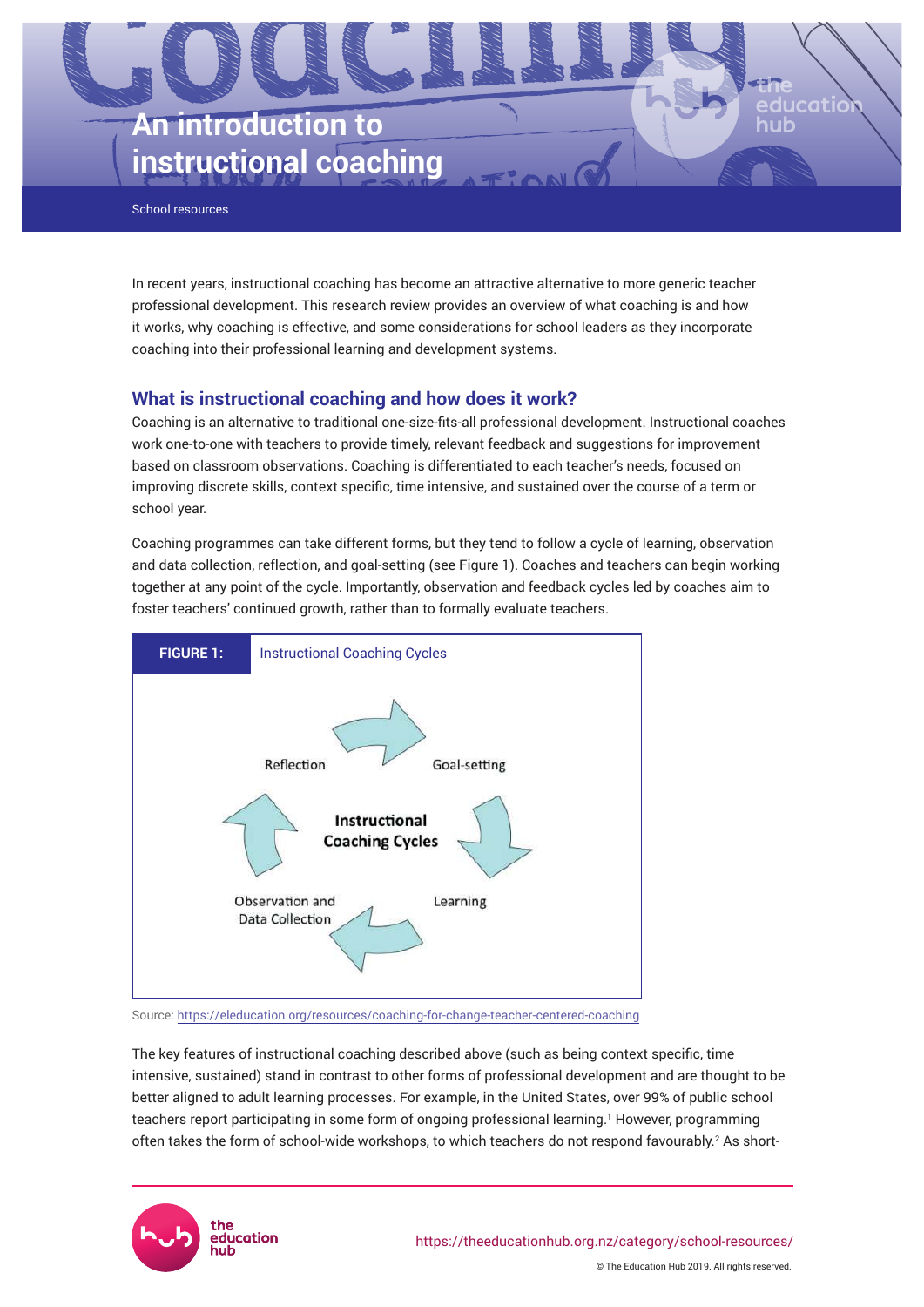

School resources

In recent years, instructional coaching has become an attractive alternative to more generic teacher professional development. This research review provides an overview of what coaching is and how it works, why coaching is effective, and some considerations for school leaders as they incorporate coaching into their professional learning and development systems.

# **What is instructional coaching and how does it work?**

Coaching is an alternative to traditional one-size-fits-all professional development. Instructional coaches work one-to-one with teachers to provide timely, relevant feedback and suggestions for improvement based on classroom observations. Coaching is differentiated to each teacher's needs, focused on improving discrete skills, context specific, time intensive, and sustained over the course of a term or school year.

Coaching programmes can take different forms, but they tend to follow a cycle of learning, observation and data collection, reflection, and goal-setting (see Figure 1). Coaches and teachers can begin working together at any point of the cycle. Importantly, observation and feedback cycles led by coaches aim to foster teachers' continued growth, rather than to formally evaluate teachers.



Source:<https://eleducation.org/resources/coaching-for-change-teacher-centered-coaching>

The key features of instructional coaching described above (such as being context specific, time intensive, sustained) stand in contrast to other forms of professional development and are thought to be better aligned to adult learning processes. For example, in the United States, over 99% of public school teachers report participating in some form of ongoing professional learning.' However, programming often takes the form of school-wide workshops, to which teachers do not respond favourably.<sup>2</sup> As short-

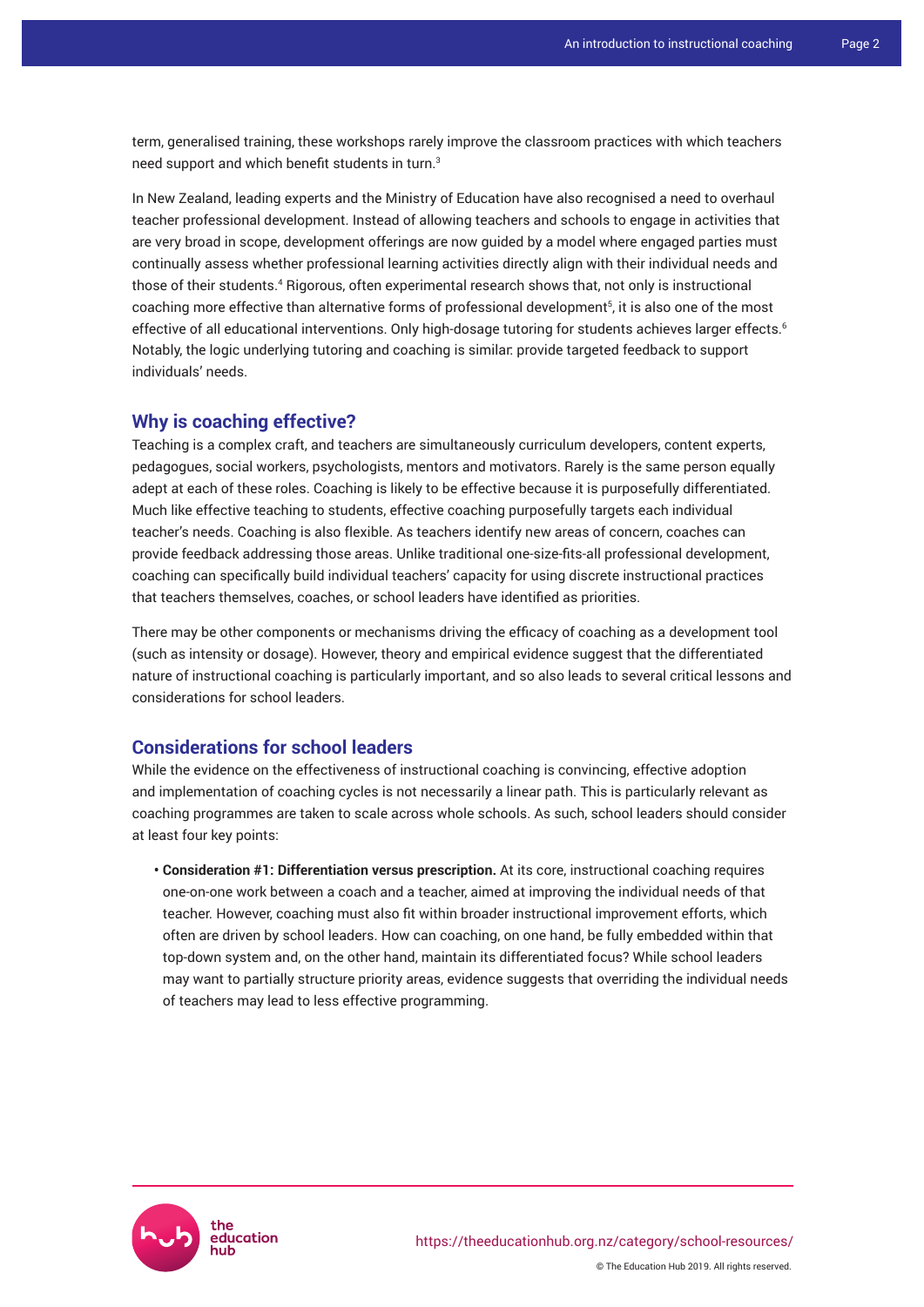term, generalised training, these workshops rarely improve the classroom practices with which teachers need support and which benefit students in turn.<sup>3</sup>

In New Zealand, leading experts and the Ministry of Education have also recognised a need to overhaul teacher professional development. Instead of allowing teachers and schools to engage in activities that are very broad in scope, development offerings are now guided by a model where engaged parties must continually assess whether professional learning activities directly align with their individual needs and those of their students.<sup>4</sup> Rigorous, often experimental research shows that, not only is instructional coaching more effective than alternative forms of professional development<sup>5</sup>, it is also one of the most effective of all educational interventions. Only high-dosage tutoring for students achieves larger effects.<sup>6</sup> Notably, the logic underlying tutoring and coaching is similar: provide targeted feedback to support individuals' needs.

# **Why is coaching effective?**

Teaching is a complex craft, and teachers are simultaneously curriculum developers, content experts, pedagogues, social workers, psychologists, mentors and motivators. Rarely is the same person equally adept at each of these roles. Coaching is likely to be effective because it is purposefully differentiated. Much like effective teaching to students, effective coaching purposefully targets each individual teacher's needs. Coaching is also flexible. As teachers identify new areas of concern, coaches can provide feedback addressing those areas. Unlike traditional one-size-fits-all professional development, coaching can specifically build individual teachers' capacity for using discrete instructional practices that teachers themselves, coaches, or school leaders have identified as priorities.

There may be other components or mechanisms driving the efficacy of coaching as a development tool (such as intensity or dosage). However, theory and empirical evidence suggest that the differentiated nature of instructional coaching is particularly important, and so also leads to several critical lessons and considerations for school leaders.

# **Considerations for school leaders**

While the evidence on the effectiveness of instructional coaching is convincing, effective adoption and implementation of coaching cycles is not necessarily a linear path. This is particularly relevant as coaching programmes are taken to scale across whole schools. As such, school leaders should consider at least four key points:

**• Consideration #1: Differentiation versus prescription.** At its core, instructional coaching requires one-on-one work between a coach and a teacher, aimed at improving the individual needs of that teacher. However, coaching must also fit within broader instructional improvement efforts, which often are driven by school leaders. How can coaching, on one hand, be fully embedded within that top-down system and, on the other hand, maintain its differentiated focus? While school leaders may want to partially structure priority areas, evidence suggests that overriding the individual needs of teachers may lead to less effective programming.

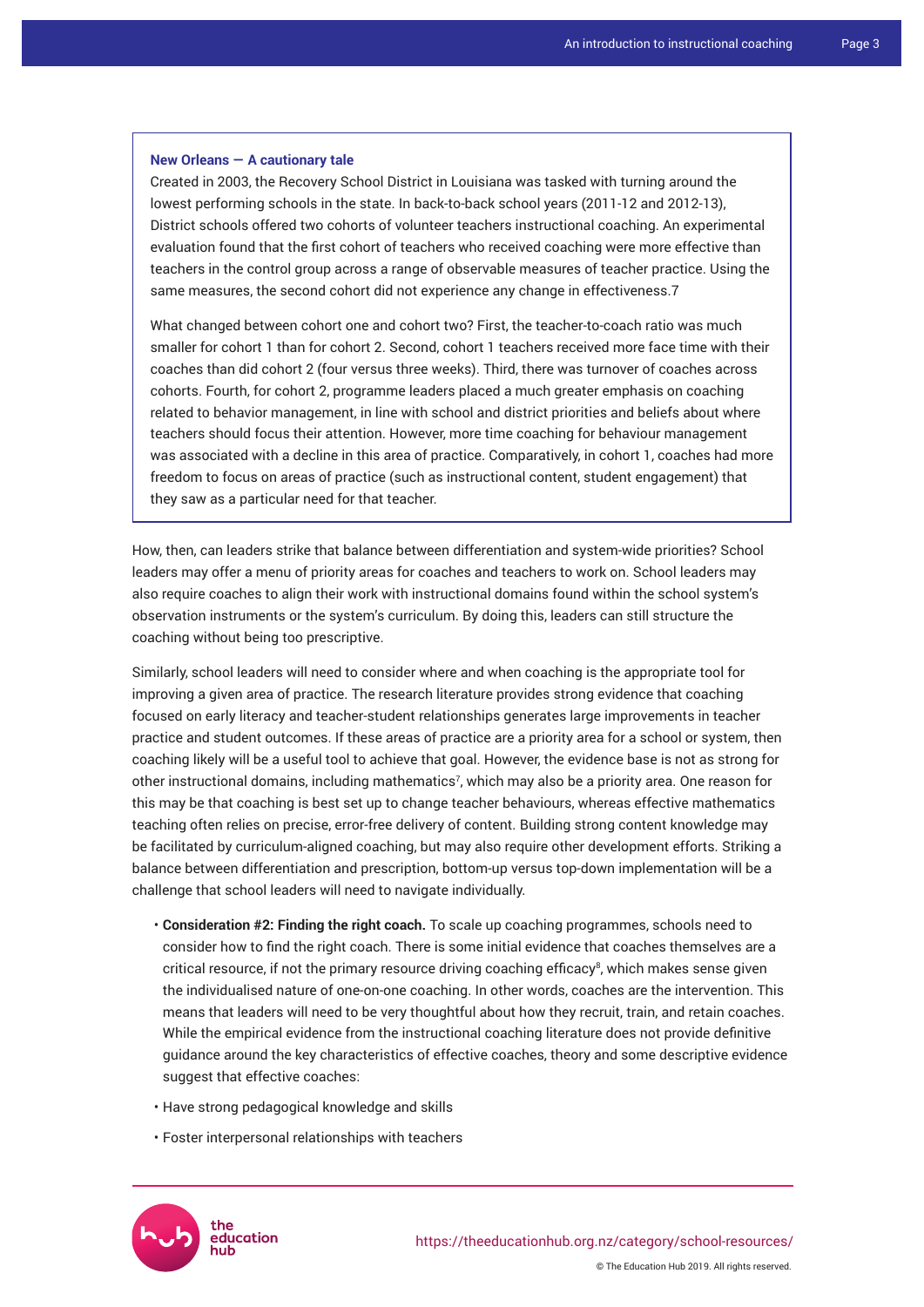### **New Orleans — A cautionary tale**

Created in 2003, the Recovery School District in Louisiana was tasked with turning around the lowest performing schools in the state. In back-to-back school years (2011-12 and 2012-13), District schools offered two cohorts of volunteer teachers instructional coaching. An experimental evaluation found that the first cohort of teachers who received coaching were more effective than teachers in the control group across a range of observable measures of teacher practice. Using the same measures, the second cohort did not experience any change in effectiveness.7

What changed between cohort one and cohort two? First, the teacher-to-coach ratio was much smaller for cohort 1 than for cohort 2. Second, cohort 1 teachers received more face time with their coaches than did cohort 2 (four versus three weeks). Third, there was turnover of coaches across cohorts. Fourth, for cohort 2, programme leaders placed a much greater emphasis on coaching related to behavior management, in line with school and district priorities and beliefs about where teachers should focus their attention. However, more time coaching for behaviour management was associated with a decline in this area of practice. Comparatively, in cohort 1, coaches had more freedom to focus on areas of practice (such as instructional content, student engagement) that they saw as a particular need for that teacher.

How, then, can leaders strike that balance between differentiation and system-wide priorities? School leaders may offer a menu of priority areas for coaches and teachers to work on. School leaders may also require coaches to align their work with instructional domains found within the school system's observation instruments or the system's curriculum. By doing this, leaders can still structure the coaching without being too prescriptive.

Similarly, school leaders will need to consider where and when coaching is the appropriate tool for improving a given area of practice. The research literature provides strong evidence that coaching focused on early literacy and teacher-student relationships generates large improvements in teacher practice and student outcomes. If these areas of practice are a priority area for a school or system, then coaching likely will be a useful tool to achieve that goal. However, the evidence base is not as strong for other instructional domains, including mathematics<sup>7</sup>, which may also be a priority area. One reason for this may be that coaching is best set up to change teacher behaviours, whereas effective mathematics teaching often relies on precise, error-free delivery of content. Building strong content knowledge may be facilitated by curriculum-aligned coaching, but may also require other development efforts. Striking a balance between differentiation and prescription, bottom-up versus top-down implementation will be a challenge that school leaders will need to navigate individually.

- **Consideration #2: Finding the right coach.** To scale up coaching programmes, schools need to consider how to find the right coach. There is some initial evidence that coaches themselves are a critical resource, if not the primary resource driving coaching efficacy<sup>8</sup>, which makes sense given the individualised nature of one-on-one coaching. In other words, coaches are the intervention. This means that leaders will need to be very thoughtful about how they recruit, train, and retain coaches. While the empirical evidence from the instructional coaching literature does not provide definitive guidance around the key characteristics of effective coaches, theory and some descriptive evidence suggest that effective coaches:
- Have strong pedagogical knowledge and skills
- Foster interpersonal relationships with teachers



© The Education Hub 2019. All rights reserved.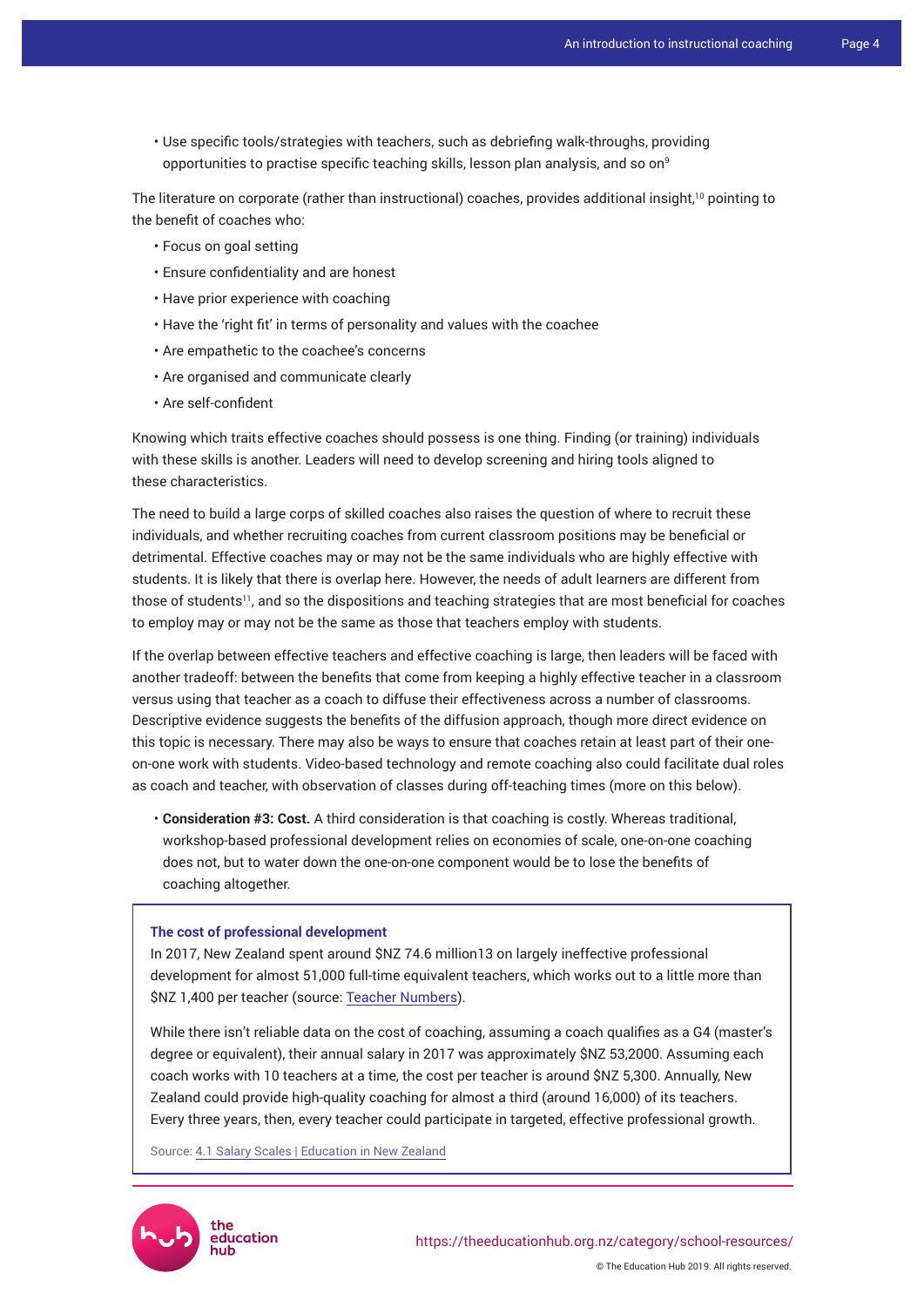• Use specific tools/strategies with teachers, such as debriefing walk-throughs, providing opportunities to practise specific teaching skills, lesson plan analysis, and so on<sup>9</sup>

The literature on corporate (rather than instructional) coaches, provides additional insight,<sup>10</sup> pointing to the benefit of coaches who:

- Focus on goal setting
- Ensure confidentiality and are honest
- Have prior experience with coaching
- Have the 'right fit' in terms of personality and values with the coachee
- Are empathetic to the coachee's concerns
- Are organised and communicate clearly
- Are self-confident

Knowing which traits effective coaches should possess is one thing. Finding (or training) individuals with these skills is another. Leaders will need to develop screening and hiring tools aligned to these characteristics.

The need to build a large corps of skilled coaches also raises the question of where to recruit these individuals, and whether recruiting coaches from current classroom positions may be beneficial or detrimental. Effective coaches may or may not be the same individuals who are highly effective with students. It is likely that there is overlap here. However, the needs of adult learners are different from those of students<sup>11</sup>, and so the dispositions and teaching strategies that are most beneficial for coaches to employ may or may not be the same as those that teachers employ with students.

If the overlap between effective teachers and effective coaching is large, then leaders will be faced with another tradeoff: between the benefits that come from keeping a highly effective teacher in a classroom versus using that teacher as a coach to diffuse their effectiveness across a number of classrooms. Descriptive evidence suggests the benefits of the diffusion approach, though more direct evidence on this topic is necessary. There may also be ways to ensure that coaches retain at least part of their oneon-one work with students. Video-based technology and remote coaching also could facilitate dual roles as coach and teacher, with observation of classes during off-teaching times (more on this below).

• **Consideration #3: Cost.** A third consideration is that coaching is costly. Whereas traditional, workshop-based professional development relies on economies of scale, one-on-one coaching does not, but to water down the one-on-one component would be to lose the benefits of coaching altogether.

#### **The cost of professional development**

In 2017, New Zealand spent around \$NZ 74.6 million13 on largely ineffective professional development for almost 51,000 full-time equivalent teachers, which works out to a little more than \$NZ 1,400 per teacher (source: [Teacher Numbers](https://www.educationcounts.govt.nz/statistics/schooling/workforce/teacher-workforce)).

While there isn't reliable data on the cost of coaching, assuming a coach qualifies as a G4 (master's degree or equivalent), their annual salary in 2017 was approximately \$NZ 53,2000. Assuming each coach works with 10 teachers at a time, the cost per teacher is around \$NZ 5,300. Annually, New Zealand could provide high-quality coaching for almost a third (around 16,000) of its teachers. Every three years, then, every teacher could participate in targeted, effective professional growth.

Source: [4.1 Salary Scales | Education in New Zealand](https://education.govt.nz/school/people-and-employment/employment-agreements/collective-agreements/secondary-teachers-collective-agreement/part-four-remuneration/4-1-salary-scales/)

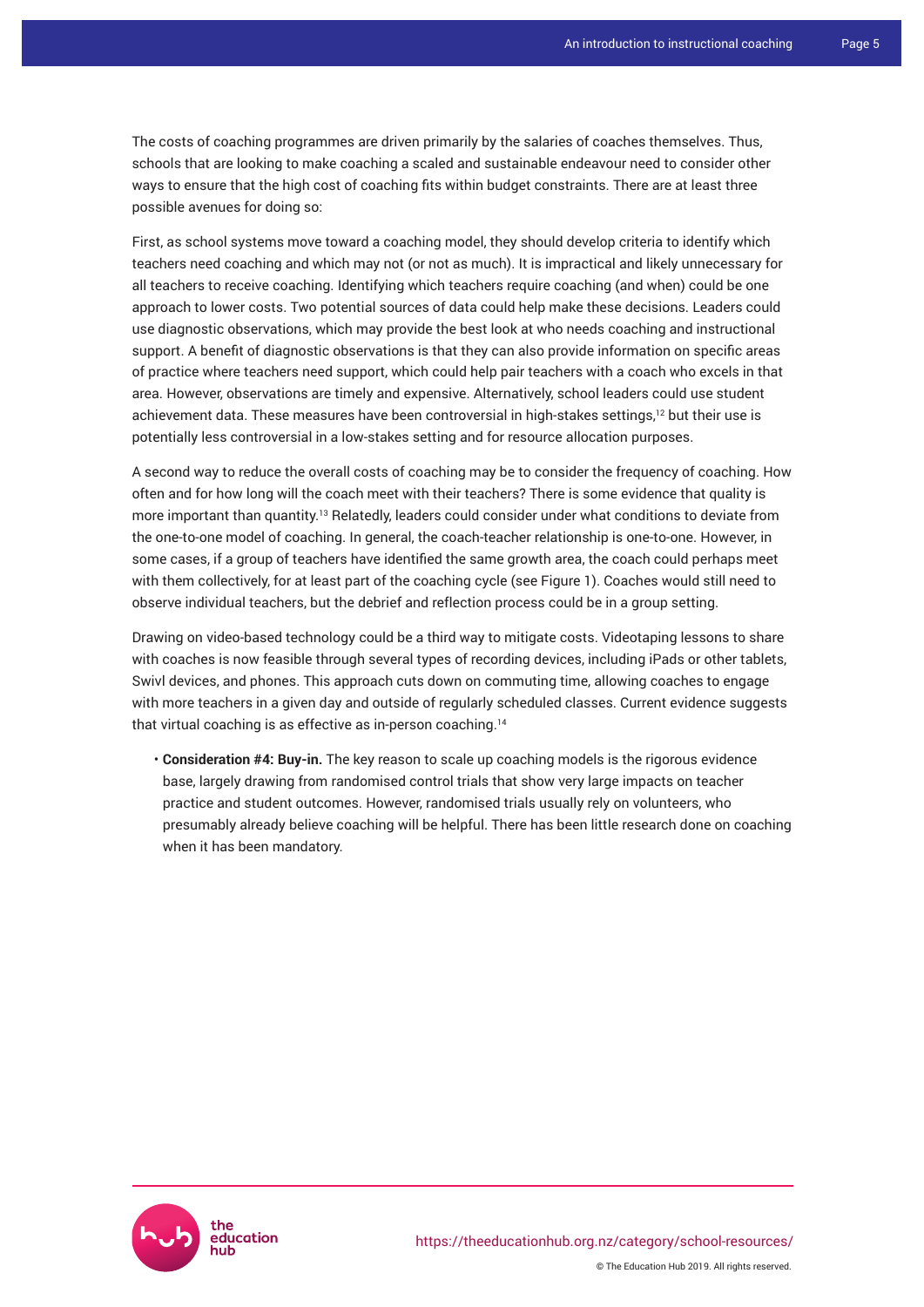The costs of coaching programmes are driven primarily by the salaries of coaches themselves. Thus, schools that are looking to make coaching a scaled and sustainable endeavour need to consider other ways to ensure that the high cost of coaching fits within budget constraints. There are at least three possible avenues for doing so:

First, as school systems move toward a coaching model, they should develop criteria to identify which teachers need coaching and which may not (or not as much). It is impractical and likely unnecessary for all teachers to receive coaching. Identifying which teachers require coaching (and when) could be one approach to lower costs. Two potential sources of data could help make these decisions. Leaders could use diagnostic observations, which may provide the best look at who needs coaching and instructional support. A benefit of diagnostic observations is that they can also provide information on specific areas of practice where teachers need support, which could help pair teachers with a coach who excels in that area. However, observations are timely and expensive. Alternatively, school leaders could use student achievement data. These measures have been controversial in high-stakes settings,<sup>12</sup> but their use is potentially less controversial in a low-stakes setting and for resource allocation purposes.

A second way to reduce the overall costs of coaching may be to consider the frequency of coaching. How often and for how long will the coach meet with their teachers? There is some evidence that quality is more important than quantity.<sup>13</sup> Relatedly, leaders could consider under what conditions to deviate from the one-to-one model of coaching. In general, the coach-teacher relationship is one-to-one. However, in some cases, if a group of teachers have identified the same growth area, the coach could perhaps meet with them collectively, for at least part of the coaching cycle (see Figure 1). Coaches would still need to observe individual teachers, but the debrief and reflection process could be in a group setting.

Drawing on video-based technology could be a third way to mitigate costs. Videotaping lessons to share with coaches is now feasible through several types of recording devices, including iPads or other tablets, Swivl devices, and phones. This approach cuts down on commuting time, allowing coaches to engage with more teachers in a given day and outside of regularly scheduled classes. Current evidence suggests that virtual coaching is as effective as in-person coaching.<sup>14</sup>

• **Consideration #4: Buy-in.** The key reason to scale up coaching models is the rigorous evidence base, largely drawing from randomised control trials that show very large impacts on teacher practice and student outcomes. However, randomised trials usually rely on volunteers, who presumably already believe coaching will be helpful. There has been little research done on coaching when it has been mandatory.

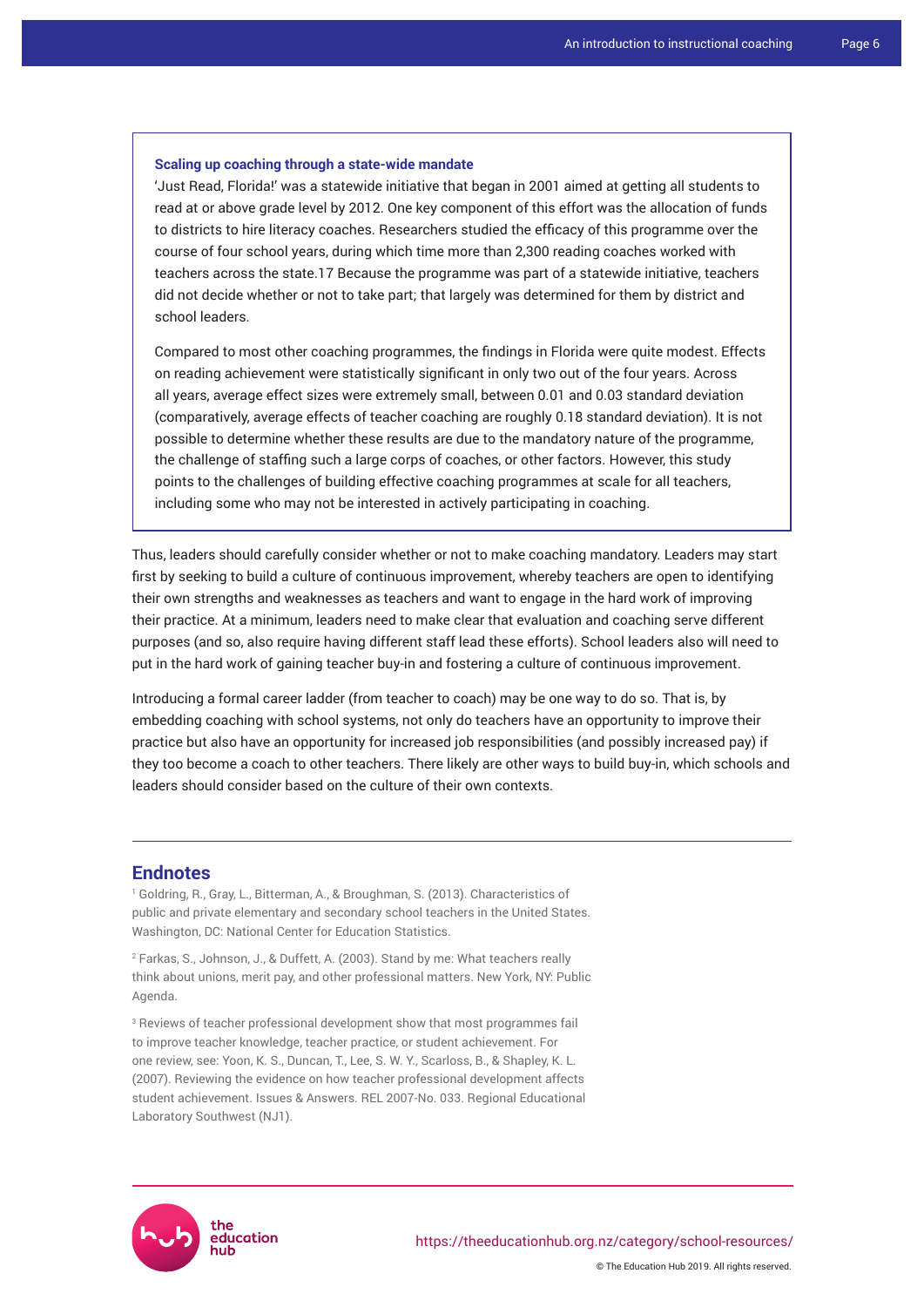### **Scaling up coaching through a state-wide mandate**

'Just Read, Florida!' was a statewide initiative that began in 2001 aimed at getting all students to read at or above grade level by 2012. One key component of this effort was the allocation of funds to districts to hire literacy coaches. Researchers studied the efficacy of this programme over the course of four school years, during which time more than 2,300 reading coaches worked with teachers across the state.17 Because the programme was part of a statewide initiative, teachers did not decide whether or not to take part; that largely was determined for them by district and school leaders.

Compared to most other coaching programmes, the findings in Florida were quite modest. Effects on reading achievement were statistically significant in only two out of the four years. Across all years, average effect sizes were extremely small, between 0.01 and 0.03 standard deviation (comparatively, average effects of teacher coaching are roughly 0.18 standard deviation). It is not possible to determine whether these results are due to the mandatory nature of the programme, the challenge of staffing such a large corps of coaches, or other factors. However, this study points to the challenges of building effective coaching programmes at scale for all teachers, including some who may not be interested in actively participating in coaching.

Thus, leaders should carefully consider whether or not to make coaching mandatory. Leaders may start first by seeking to build a culture of continuous improvement, whereby teachers are open to identifying their own strengths and weaknesses as teachers and want to engage in the hard work of improving their practice. At a minimum, leaders need to make clear that evaluation and coaching serve different purposes (and so, also require having different staff lead these efforts). School leaders also will need to put in the hard work of gaining teacher buy-in and fostering a culture of continuous improvement.

Introducing a formal career ladder (from teacher to coach) may be one way to do so. That is, by embedding coaching with school systems, not only do teachers have an opportunity to improve their practice but also have an opportunity for increased job responsibilities (and possibly increased pay) if they too become a coach to other teachers. There likely are other ways to build buy-in, which schools and leaders should consider based on the culture of their own contexts.

### **Endnotes**

1 Goldring, R., Gray, L., Bitterman, A., & Broughman, S. (2013). Characteristics of public and private elementary and secondary school teachers in the United States. Washington, DC: National Center for Education Statistics.

2 Farkas, S., Johnson, J., & Duffett, A. (2003). Stand by me: What teachers really think about unions, merit pay, and other professional matters. New York, NY: Public Agenda.

<sup>3</sup> Reviews of teacher professional development show that most programmes fail to improve teacher knowledge, teacher practice, or student achievement. For one review, see: Yoon, K. S., Duncan, T., Lee, S. W. Y., Scarloss, B., & Shapley, K. L. (2007). Reviewing the evidence on how teacher professional development affects student achievement. Issues & Answers. REL 2007-No. 033. Regional Educational Laboratory Southwest (NJ1).

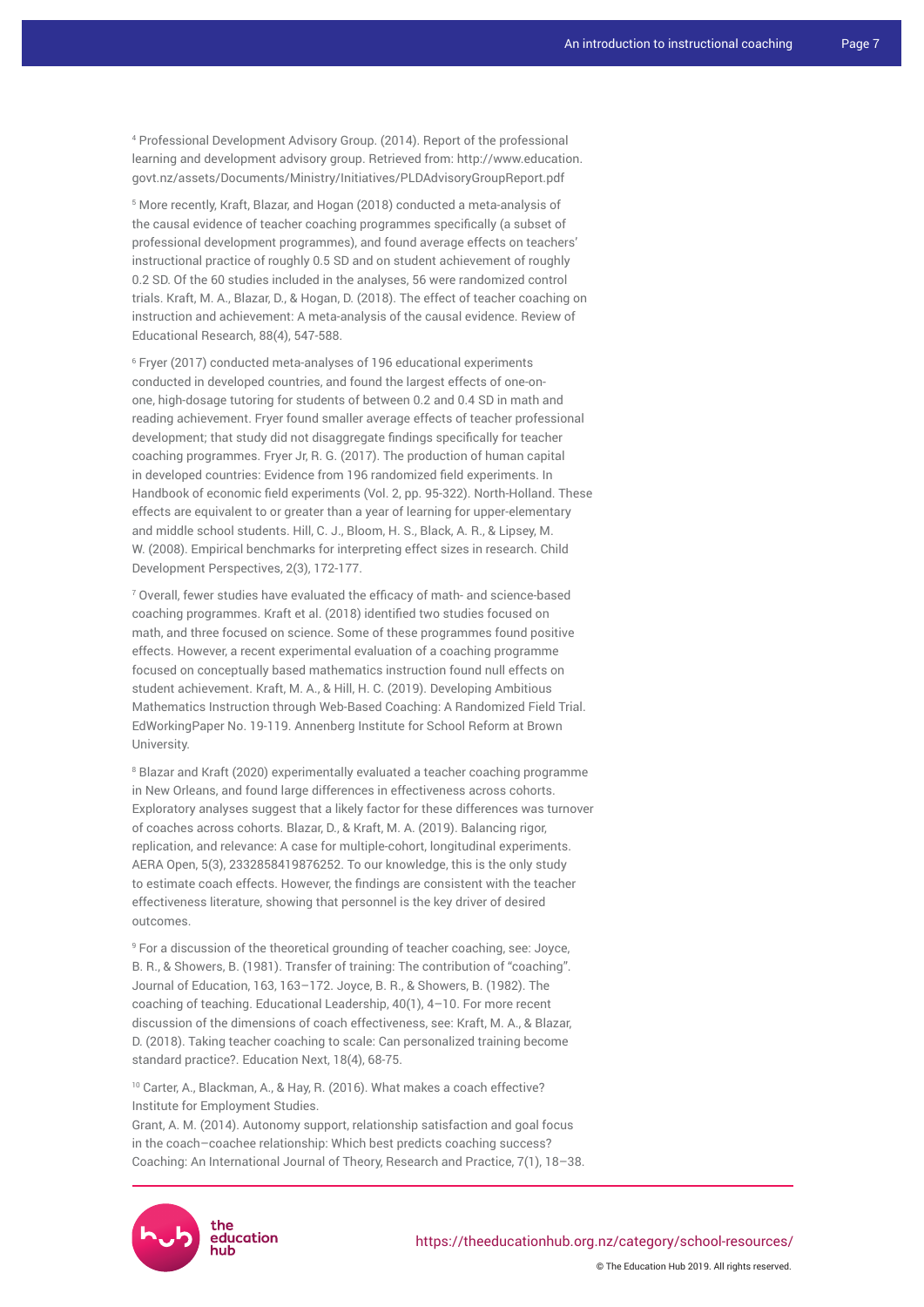4 Professional Development Advisory Group. (2014). Report of the professional learning and development advisory group. Retrieved from: [http://www.education.](http://www.education.govt.nz/assets/Documents/Ministry/Initiatives/PLDAdvisoryGroupReport.pdf) [govt.nz/assets/Documents/Ministry/Initiatives/PLDAdvisoryGroupReport.pdf](http://www.education.govt.nz/assets/Documents/Ministry/Initiatives/PLDAdvisoryGroupReport.pdf)

5 More recently, Kraft, Blazar, and Hogan (2018) conducted a meta-analysis of the causal evidence of teacher coaching programmes specifically (a subset of professional development programmes), and found average effects on teachers' instructional practice of roughly 0.5 SD and on student achievement of roughly 0.2 SD. Of the 60 studies included in the analyses, 56 were randomized control trials. Kraft, M. A., Blazar, D., & Hogan, D. (2018). The effect of teacher coaching on instruction and achievement: A meta-analysis of the causal evidence. Review of Educational Research, 88(4), 547-588.

6 Fryer (2017) conducted meta-analyses of 196 educational experiments conducted in developed countries, and found the largest effects of one-onone, high-dosage tutoring for students of between 0.2 and 0.4 SD in math and reading achievement. Fryer found smaller average effects of teacher professional development; that study did not disaggregate findings specifically for teacher coaching programmes. Fryer Jr, R. G. (2017). The production of human capital in developed countries: Evidence from 196 randomized field experiments. In Handbook of economic field experiments (Vol. 2, pp. 95-322). North-Holland. These effects are equivalent to or greater than a year of learning for upper-elementary and middle school students. Hill, C. J., Bloom, H. S., Black, A. R., & Lipsey, M. W. (2008). Empirical benchmarks for interpreting effect sizes in research. Child Development Perspectives, 2(3), 172-177.

7 Overall, fewer studies have evaluated the efficacy of math- and science-based coaching programmes. Kraft et al. (2018) identified two studies focused on math, and three focused on science. Some of these programmes found positive effects. However, a recent experimental evaluation of a coaching programme focused on conceptually based mathematics instruction found null effects on student achievement. Kraft, M. A., & Hill, H. C. (2019). Developing Ambitious Mathematics Instruction through Web-Based Coaching: A Randomized Field Trial. EdWorkingPaper No. 19-119. Annenberg Institute for School Reform at Brown University.

8 Blazar and Kraft (2020) experimentally evaluated a teacher coaching programme in New Orleans, and found large differences in effectiveness across cohorts. Exploratory analyses suggest that a likely factor for these differences was turnover of coaches across cohorts. Blazar, D., & Kraft, M. A. (2019). Balancing rigor, replication, and relevance: A case for multiple-cohort, longitudinal experiments. AERA Open, 5(3), 2332858419876252. To our knowledge, this is the only study to estimate coach effects. However, the findings are consistent with the teacher effectiveness literature, showing that personnel is the key driver of desired outcomes.

9 For a discussion of the theoretical grounding of teacher coaching, see: Joyce, B. R., & Showers, B. (1981). Transfer of training: The contribution of "coaching". Journal of Education, 163, 163–172. Joyce, B. R., & Showers, B. (1982). The coaching of teaching. Educational Leadership, 40(1), 4–10. For more recent discussion of the dimensions of coach effectiveness, see: Kraft, M. A., & Blazar, D. (2018). Taking teacher coaching to scale: Can personalized training become standard practice?. Education Next, 18(4), 68-75.

<sup>10</sup> Carter, A., Blackman, A., & Hay, R. (2016). What makes a coach effective? Institute for Employment Studies.

Grant, A. M. (2014). Autonomy support, relationship satisfaction and goal focus in the coach–coachee relationship: Which best predicts coaching success? Coaching: An International Journal of Theory, Research and Practice, 7(1), 18–38.